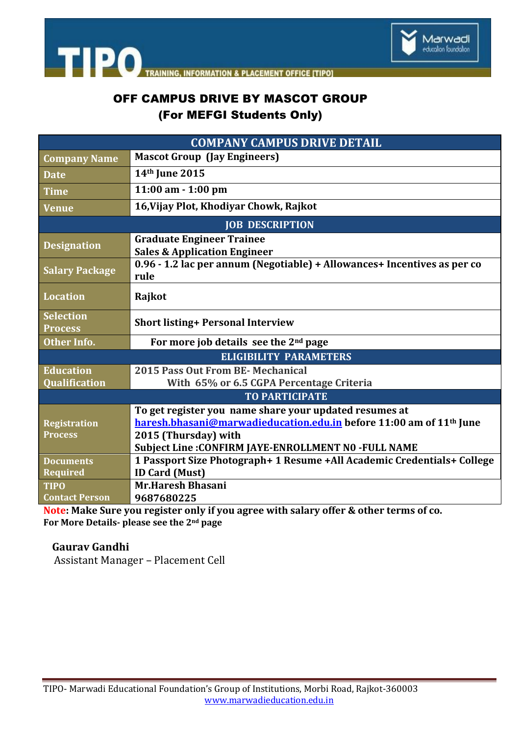



## OFF CAMPUS DRIVE BY MASCOT GROUP (For MEFGI Students Only)

| <b>COMPANY CAMPUS DRIVE DETAIL</b> |                                                                                   |
|------------------------------------|-----------------------------------------------------------------------------------|
| <b>Company Name</b>                | <b>Mascot Group (Jay Engineers)</b>                                               |
| <b>Date</b>                        | 14th June 2015                                                                    |
| <b>Time</b>                        | $11:00$ am $-1:00$ pm                                                             |
| <b>Venue</b>                       | 16, Vijay Plot, Khodiyar Chowk, Rajkot                                            |
| <b>JOB DESCRIPTION</b>             |                                                                                   |
| <b>Designation</b>                 | <b>Graduate Engineer Trainee</b><br><b>Sales &amp; Application Engineer</b>       |
| <b>Salary Package</b>              | 0.96 - 1.2 lac per annum (Negotiable) + Allowances + Incentives as per co<br>rule |
| <b>Location</b>                    | Rajkot                                                                            |
| <b>Selection</b><br><b>Process</b> | <b>Short listing+ Personal Interview</b>                                          |
| <b>Other Info.</b>                 | For more job details see the $2nd$ page                                           |
| <b>ELIGIBILITY PARAMETERS</b>      |                                                                                   |
| <b>Education</b>                   | 2015 Pass Out From BE- Mechanical                                                 |
| <b>Qualification</b>               | With 65% or 6.5 CGPA Percentage Criteria                                          |
| <b>TO PARTICIPATE</b>              |                                                                                   |
|                                    | To get register you name share your updated resumes at                            |
| <b>Registration</b>                | haresh.bhasani@marwadieducation.edu.in before 11:00 am of 11 <sup>th</sup> June   |
| <b>Process</b>                     | 2015 (Thursday) with                                                              |
|                                    | Subject Line: CONFIRM JAYE-ENROLLMENT NO -FULL NAME                               |
| <b>Documents</b>                   | 1 Passport Size Photograph+ 1 Resume +All Academic Credentials+ College           |
| <b>Required</b>                    | <b>ID Card (Must)</b>                                                             |
| <b>TIPO</b>                        | <b>Mr.Haresh Bhasani</b>                                                          |
| <b>Contact Person</b>              | 9687680225                                                                        |

**Note: Make Sure you register only if you agree with salary offer & other terms of co. For More Details- please see the 2nd page**

 **Gaurav Gandhi** 

Assistant Manager – Placement Cell